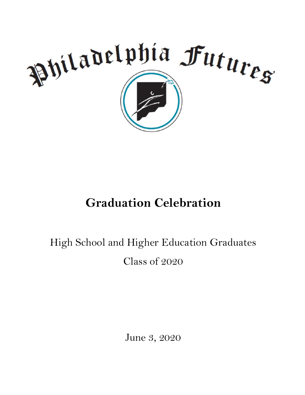

# **Graduation Celebration**

# High School and Higher Education Graduates Class of 2020

June 3, 2020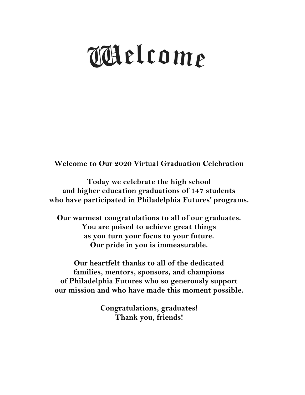# Welcome

**Welcome to Our 2020 Virtual Graduation Celebration**

**Today we celebrate the high school and higher education graduations of 147 students who have participated in Philadelphia Futures' programs.**

**Our warmest congratulations to all of our graduates. You are poised to achieve great things as you turn your focus to your future. Our pride in you is immeasurable.**

**Our heartfelt thanks to all of the dedicated families, mentors, sponsors, and champions of Philadelphia Futures who so generously support our mission and who have made this moment possible.**

> **Congratulations, graduates! Thank you, friends!**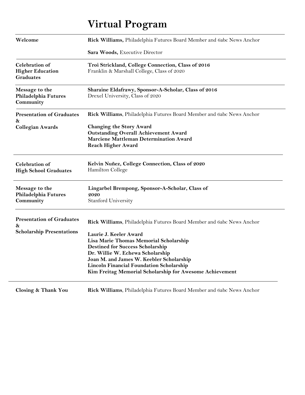# **Virtual Program**

| Welcome                                                       | Rick Williams, Philadelphia Futures Board Member and 6abc News Anchor                            |
|---------------------------------------------------------------|--------------------------------------------------------------------------------------------------|
|                                                               | Sara Woods, Executive Director                                                                   |
| <b>Celebration</b> of<br><b>Higher Education</b><br>Graduates | Troi Strickland, College Connection, Class of 2016<br>Franklin & Marshall College, Class of 2020 |
| Message to the<br>Philadelphia Futures<br>Community           | Sharaine Eldafrawy, Sponsor-A-Scholar, Class of 2016<br>Drexel University, Class of 2020         |
| <b>Presentation of Graduates</b><br>8x                        | Rick Williams, Philadelphia Futures Board Member and 6abc News Anchor                            |
| <b>Collegian Awards</b>                                       | <b>Changing the Story Award</b>                                                                  |
|                                                               | <b>Outstanding Overall Achievement Award</b>                                                     |
|                                                               | Marciene Mattleman Determination Award                                                           |
|                                                               | <b>Reach Higher Award</b>                                                                        |
| <b>Celebration</b> of<br><b>High School Graduates</b>         | Kelvin Nuñez, College Connection, Class of 2020<br>Hamilton College                              |
| Message to the                                                | Lingarbel Brempong, Sponsor-A-Scholar, Class of                                                  |
| Philadelphia Futures                                          | 2020                                                                                             |
| Community                                                     | Stanford University                                                                              |
| <b>Presentation of Graduates</b><br>8x                        | Rick Williams, Philadelphia Futures Board Member and 6abc News Anchor                            |
| <b>Scholarship Presentations</b>                              | Laurie J. Keeler Award                                                                           |
|                                                               | Lisa Marie Thomas Memorial Scholarship                                                           |
|                                                               | <b>Destined for Success Scholarship</b>                                                          |
|                                                               | Dr. Willie W. Echewa Scholarship                                                                 |
|                                                               | Joan M. and James W. Keebler Scholarship                                                         |
|                                                               | <b>Lincoln Financial Foundation Scholarship</b>                                                  |
|                                                               | Kim Freitag Memorial Scholarship for Awesome Achievement                                         |
|                                                               |                                                                                                  |

**Closing & Thank You Rick Williams**, Philadelphia Futures Board Member and 6abc News Anchor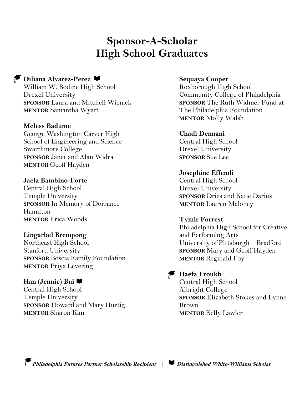# **Sponsor-A-Scholar High School Graduates**

#### **Diliana Alvarez-Perez** William W. Bodine High School Drexel University **SPONSOR** Laura and Mitchell Wienick **MENTOR** Samantha Wyatt

#### **Meless Badume**

George Washington Carver High School of Engineering and Science Swarthmore College **SPONSOR** Janet and Alan Widra **MENTOR** Geoff Hayden

#### **Jaela Bambino-Forte**  Central High School Temple University **SPONSOR** In Memory of Dorrance

Hamilton **MENTOR** Erica Woods

#### **Lingarbel Brempong**

Northeast High School Stanford University **SPONSOR** Boscia Family Foundation **MENTOR** Priya Levering

#### **Han (Jennie) Bui**

Central High School Temple University **SPONSOR** Howard and Mary Hurtig **MENTOR** Sharon Kim

#### **Sequaya Cooper**

Roxborough High School Community College of Philadelphia **SPONSOR** The Ruth Widmer Fund at The Philadelphia Foundation **MENTOR** Molly Walsh

#### **Chadi Dennani**

Central High School Drexel University **SPONSOR** Sue Lee

#### **Josephine Effendi**

Central High School Drexel University **SPONSOR** Dries and Katie Darius **MENTOR** Lauren Maloney

#### **Tymir Forrest**

Philadelphia High School for Creative and Performing Arts University of Pittsburgh – Bradford **SPONSOR** Mary and Geoff Hayden **MENTOR** Reginald Foy

#### **Haefa Froukh**

Central High School Albright College **SPONSOR** Elizabeth Stokes and Lynne Brown **MENTOR** Kelly Lawler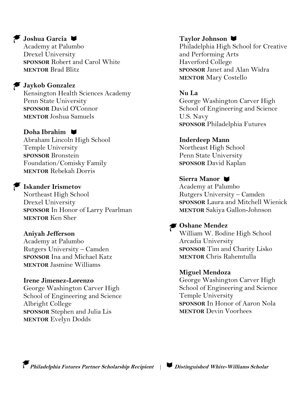#### **Joshua Garcia**

Academy at Palumbo Drexel University **SPONSOR** Robert and Carol White **MENTOR** Brad Blitz

#### **Jaykob Gonzalez**

Kensington Health Sciences Academy Penn State University **SPONSOR** David O'Connor **MENTOR** Joshua Samuels

#### **Doha Ibrahim**

Abraham Lincoln High School Temple University **SPONSOR** Bronstein Foundation/Comisky Family **MENTOR** Rebekah Dorris

#### **Iskander Irismetov**

Northeast High School Drexel University **SPONSOR** In Honor of Larry Pearlman **MENTOR** Ken Sher

#### **Aniyah Jefferson**

Academy at Palumbo Rutgers University – Camden **SPONSOR** Ina and Michael Katz **MENTOR** Jasmine Williams

**Irene Jimenez-Lorenzo** George Washington Carver High School of Engineering and Science Albright College **SPONSOR** Stephen and Julia Lis **MENTOR** Evelyn Dodds

#### **Taylor Johnson**

Philadelphia High School for Creative and Performing Arts Haverford College **SPONSOR** Janet and Alan Widra **MENTOR** Mary Costello

**Nu La** George Washington Carver High School of Engineering and Science U.S. Navy **SPONSOR** Philadelphia Futures

**Inderdeep Mann** Northeast High School

Penn State University **SPONSOR** David Kaplan

#### **Sierra Manor**

Academy at Palumbo Rutgers University – Camden **SPONSOR** Laura and Mitchell Wienick **MENTOR** Sakiya Gallon-Johnson

#### **Oshane Mendez**

William W. Bodine High School Arcadia University **SPONSOR** Tim and Charity Lisko **MENTOR** Chris Rahemtulla

#### **Miguel Mendoza**

George Washington Carver High School of Engineering and Science Temple University **SPONSOR** In Honor of Aaron Nola **MENTOR** Devin Voorhees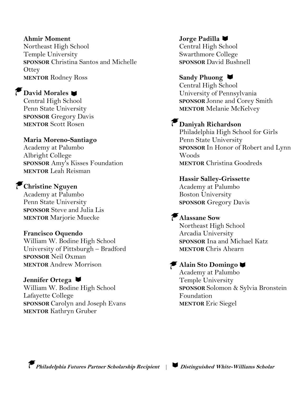#### **Ahmir Moment**

Northeast High School Temple University **SPONSOR** Christina Santos and Michelle **Ottey MENTOR** Rodney Ross

#### **David Morales**

Central High School Penn State University **SPONSOR** Gregory Davis **MENTOR** Scott Rosen

#### **Maria Moreno-Santiago**

Academy at Palumbo Albright College **SPONSOR** Amy's Kisses Foundation **MENTOR** Leah Reisman

### **Christine Nguyen**

Academy at Palumbo Penn State University **SPONSOR** Steve and Julia Lis **MENTOR** Marjorie Muecke

#### **Francisco Oquendo**

William W. Bodine High School University of Pittsburgh – Bradford **SPONSOR** Neil Oxman **MENTOR** Andrew Morrison

#### **Jennifer Ortega**

William W. Bodine High School Lafayette College **SPONSOR** Carolyn and Joseph Evans **MENTOR** Kathryn Gruber

#### **Jorge Padilla**

Central High School Swarthmore College **SPONSOR** David Bushnell

#### **Sandy Phuong**

Central High School University of Pennsylvania **SPONSOR** Jonne and Corey Smith **MENTOR** Melanie McKelvey

## **Daniyah Richardson**

Philadelphia High School for Girls Penn State University **SPONSOR** In Honor of Robert and Lynn Woods **MENTOR** Christina Goodreds

#### **Hassir Salley-Grissette**

Academy at Palumbo Boston University **SPONSOR** Gregory Davis

#### **Alassane Sow**

Northeast High School Arcadia University **SPONSOR** Ina and Michael Katz **MENTOR** Chris Ahearn

#### **Alain Sto Domingo**

Academy at Palumbo Temple University **SPONSOR** Solomon & Sylvia Bronstein Foundation **MENTOR** Eric Siegel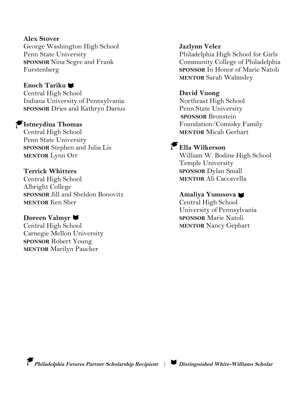#### **Alex Stover**

George Washington High School Penn State University **SPONSOR** Nina Segre and Frank Furstenberg

#### **Enoch Tariku**

Central High School Indiana University of Pennsylvania **SPONSOR** Dries and Kathryn Darius

#### **Istneydina Thomas**

Central High School Penn State University **SPONSOR** Stephen and Julia Lis **MENTOR** Lynn Orr

#### **Terrick Whitters**

Central High School Albright College **SPONSOR** Jill and Sheldon Bonovitz **MENTOR** Ken Sher

#### **Doreen Valmyr**

Central High School Carnegie Mellon University **SPONSOR** Robert Young **MENTOR** Marilyn Paucker

#### **Jazlynn Velez**

Philadelphia High School for Girls Community College of Philadelphia **SPONSOR** In Honor of Marie Natoli **MENTOR** Sarah Walmsley

#### **David Vuong**

Northeast High School Penn State University **SPONSOR** Bronstein Foundation/Comisky Family **MENTOR** Micah Gerhart

## **Ella Wilkerson**

William W. Bodine High School Temple University **SPONSOR** Dylan Small **MENTOR** Ali Caccavella

#### **Amaliya Yunusova**

Central High School University of Pennsylvania **SPONSOR** Marie Natoli **MENTOR** Nancy Gephart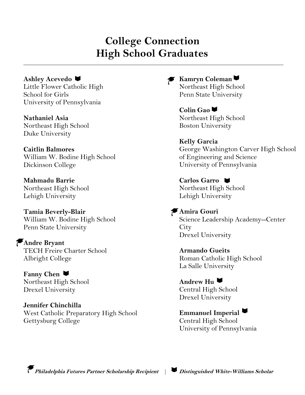## **College Connection High School Graduates**

**Ashley Acevedo** Little Flower Catholic High School for Girls University of Pennsylvania

**Nathaniel Asia** Northeast High School Duke University

**Caitlin Balmores** William W. Bodine High School Dickinson College

**Mahmadu Barrie** Northeast High School Lehigh University

**Tamia Beverly-Blair** William W. Bodine High School Penn State University

**Andre Bryant** TECH Freire Charter School Albright College

**Fanny Chen** Northeast High School Drexel University

**Jennifer Chinchilla** West Catholic Preparatory High School Gettysburg College

**Kamryn** Coleman Northeast High School Penn State University

> **Colin Gao** Northeast High School Boston University

**Kelly Garcia** George Washington Carver High School of Engineering and Science University of Pennsylvania

**Carlos Garro** Northeast High School Lehigh University

**Amira Gouri** Science Leadership Academy--Center **City** Drexel University

**Armando Gueits** Roman Catholic High School La Salle University

**Andrew Hu** Central High School Drexel University

**Emmanuel Imperial** Central High School University of Pennsylvania

**Philadelphia Futures Partner Scholarship Recipient** | **Distinguished White-Williams Scholar**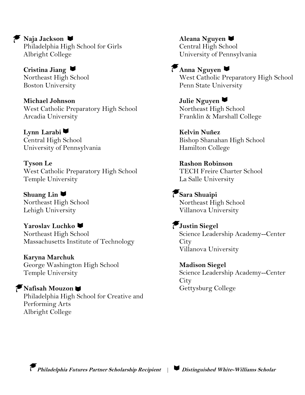Philadelphia High School for Girls Albright College

**Cristina Jiang** Northeast High School Boston University

**Naja Jackson**

**Michael Johnson** West Catholic Preparatory High School Arcadia University

**Lynn Larabi** Central High School University of Pennsylvania

**Tyson Le** West Catholic Preparatory High School Temple University

**Shuang Lin** Northeast High School Lehigh University

**Yaroslav Luchko** Northeast High School Massachusetts Institute of Technology

**Karyna Marchuk** George Washington High School Temple University

**Nafisah Mouzon** Philadelphia High School for Creative and Performing Arts Albright College

**Aleana Nguyen** Central High School University of Pennsylvania

## **Anna Nguyen**

West Catholic Preparatory High School Penn State University

**Julie Nguyen** Northeast High School Franklin & Marshall College

**Kelvin Nuñez** Bishop Shanahan High School Hamilton College

**Rashon Robinson** TECH Freire Charter School La Salle University

**Sara Shuaipi** Northeast High School Villanova University

#### **Justin Siegel**

Science Leadership Academy--Center **City** Villanova University

**Madison Siegel** Science Leadership Academy--Center **City** Gettysburg College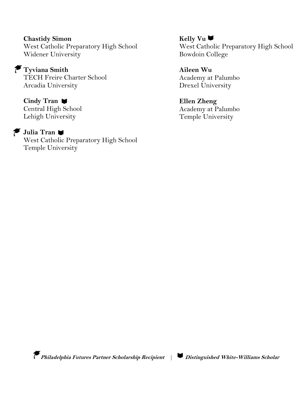**Chastidy Simon** West Catholic Preparatory High School Widener University

**Tyviana Smith** TECH Freire Charter School Arcadia University

**Cindy Tran** Central High School Lehigh University

#### **Julia Tran**

West Catholic Preparatory High School Temple University

**Kelly Vu** West Catholic Preparatory High School Bowdoin College

**Aileen Wu** Academy at Palumbo Drexel University

**Ellen Zheng** Academy at Palumbo Temple University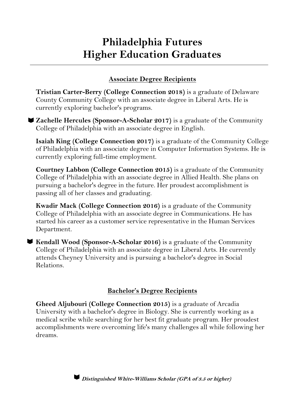# **Philadelphia Futures Higher Education Graduates**

#### **Associate Degree Recipients**

**Tristian Carter-Berry (College Connection 2018)** is a graduate of Delaware County Community College with an associate degree in Liberal Arts. He is currently exploring bachelor's programs.

**Zachelle Hercules (Sponsor-A-Scholar 2017)** is a graduate of the Community College of Philadelphia with an associate degree in English.

**Isaiah King (College Connection 2017)** is a graduate of the Community College of Philadelphia with an associate degree in Computer Information Systems. He is currently exploring full-time employment.

**Courtney Labbon (College Connection 2015)** is a graduate of the Community College of Philadelphia with an associate degree in Allied Health. She plans on pursuing a bachelor's degree in the future. Her proudest accomplishment is passing all of her classes and graduating.

**Kwadir Mack (College Connection 2016)** is a graduate of the Community College of Philadelphia with an associate degree in Communications. He has started his career as a customer service representative in the Human Services Department.

**Kendall Wood (Sponsor-A-Scholar 2016)** is a graduate of the Community College of Philadelphia with an associate degree in Liberal Arts. He currently attends Cheyney University and is pursuing a bachelor's degree in Social Relations.

#### **Bachelor's Degree Recipients**

**Gheed Aljubouri (College Connection 2015)** is a graduate of Arcadia University with a bachelor's degree in Biology. She is currently working as a medical scribe while searching for her best fit graduate program. Her proudest accomplishments were overcoming life's many challenges all while following her dreams.

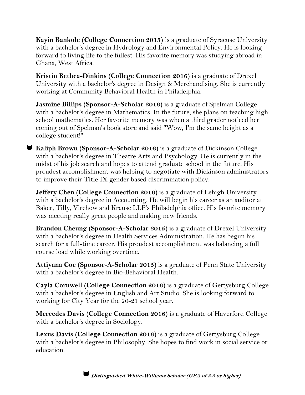**Kayin Bankole (College Connection 2015)** is a graduate of Syracuse University with a bachelor's degree in Hydrology and Environmental Policy. He is looking forward to living life to the fullest. His favorite memory was studying abroad in Ghana, West Africa.

**Kristin Bethea-Dinkins (College Connection 2016)** is a graduate of Drexel University with a bachelor's degree in Design & Merchandising. She is currently working at Community Behavioral Health in Philadelphia.

**Jasmine Billips (Sponsor-A-Scholar 2016)** is a graduate of Spelman College with a bachelor's degree in Mathematics. In the future, she plans on teaching high school mathematics. Her favorite memory was when a third grader noticed her coming out of Spelman's book store and said "Wow, I'm the same height as a college student!"

**Kaliph Brown (Sponsor-A-Scholar 2016)** is a graduate of Dickinson College with a bachelor's degree in Theatre Arts and Psychology. He is currently in the midst of his job search and hopes to attend graduate school in the future. His proudest accomplishment was helping to negotiate with Dickinson administrators to improve their Title IX gender based discrimination policy.

**Jeffery Chen (College Connection 2016)** is a graduate of Lehigh University with a bachelor's degree in Accounting. He will begin his career as an auditor at Baker, Tilly, Virchow and Krause LLP's Philadelphia office. His favorite memory was meeting really great people and making new friends.

**Brandon Cheung (Sponsor-A-Scholar 2015)** is a graduate of Drexel University with a bachelor's degree in Health Services Administration. He has begun his search for a full-time career. His proudest accomplishment was balancing a full course load while working overtime.

**Attiyana Coe (Sponsor-A-Scholar 2015)** is a graduate of Penn State University with a bachelor's degree in Bio-Behavioral Health.

**Cayla Cornwell (College Connection 2016)** is a graduate of Gettysburg College with a bachelor's degree in English and Art Studio. She is looking forward to working for City Year for the 20-21 school year.

**Mercedes Davis (College Connection 2016)** is a graduate of Haverford College with a bachelor's degree in Sociology.

**Lexus Davis (College Connection 2016)** is a graduate of Gettysburg College with a bachelor's degree in Philosophy. She hopes to find work in social service or education.



**Distinguished White-Williams Scholar (GPA of 3.5 or higher)**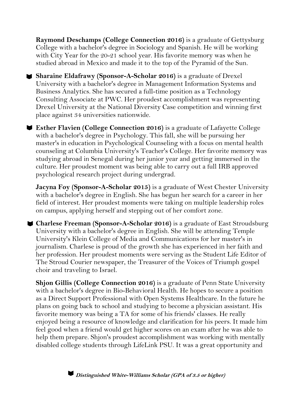**Raymond Deschamps (College Connection 2016)** is a graduate of Gettysburg College with a bachelor's degree in Sociology and Spanish. He will be working with City Year for the 20-21 school year. His favorite memory was when he studied abroad in Mexico and made it to the top of the Pyramid of the Sun.

**Sharaine Eldafrawy (Sponsor-A-Scholar 2016)** is a graduate of Drexel University with a bachelor's degree in Management Information Systems and Business Analytics. She has secured a full-time position as a Technology Consulting Associate at PWC. Her proudest accomplishment was representing Drexel University at the National Diversity Case competition and winning first place against 34 universities nationwide.

**Esther Flavien (College Connection 2016)** is a graduate of Lafayette College with a bachelor's degree in Psychology. This fall, she will be pursuing her master's in education in Psychological Counseling with a focus on mental health counseling at Columbia University's Teacher's College. Her favorite memory was studying abroad in Senegal during her junior year and getting immersed in the culture. Her proudest moment was being able to carry out a full IRB approved psychological research project during undergrad.

**Jacyna Foy (Sponsor-A-Scholar 2015)** is a graduate of West Chester University with a bachelor's degree in English. She has begun her search for a career in her field of interest. Her proudest moments were taking on multiple leadership roles on campus, applying herself and stepping out of her comfort zone.

**Charlese Freeman (Sponsor-A-Scholar 2016)** is a graduate of East Stroudsburg University with a bachelor's degree in English. She will be attending Temple University's Klein College of Media and Communications for her master's in journalism. Charlese is proud of the growth she has experienced in her faith and her profession. Her proudest moments were serving as the Student Life Editor of The Stroud Courier newspaper, the Treasurer of the Voices of Triumph gospel choir and traveling to Israel.

**Shjon Gillis (College Connection 2016)** is a graduate of Penn State University with a bachelor's degree in Bio-Behavioral Health. He hopes to secure a position as a Direct Support Professional with Open Systems Healthcare. In the future he plans on going back to school and studying to become a physician assistant. His favorite memory was being a TA for some of his friends' classes. He really enjoyed being a resource of knowledge and clarification for his peers. It made him feel good when a friend would get higher scores on an exam after he was able to help them prepare. Shjon's proudest accomplishment was working with mentally disabled college students through LifeLink PSU. It was a great opportunity and

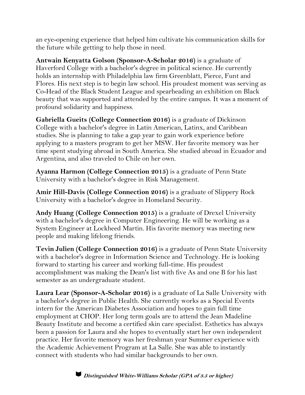an eye-opening experience that helped him cultivate his communication skills for the future while getting to help those in need.

**Antwain Kenyatta Golson (Sponsor-A-Scholar 2016)** is a graduate of Haverford College with a bachelor's degree in political science. He currently holds an internship with Philadelphia law firm Greenblatt, Pierce, Funt and Flores. His next step is to begin law school. His proudest moment was serving as Co-Head of the Black Student League and spearheading an exhibition on Black beauty that was supported and attended by the entire campus. It was a moment of profound solidarity and happiness.

**Gabriella Gueits (College Connection 2016)** is a graduate of Dickinson College with a bachelor's degree in Latin American, Latinx, and Caribbean studies. She is planning to take a gap year to gain work experience before applying to a masters program to get her MSW. Her favorite memory was her time spent studying abroad in South America. She studied abroad in Ecuador and Argentina, and also traveled to Chile on her own.

**Ayanna Harmon (College Connection 2015)** is a graduate of Penn State University with a bachelor's degree in Risk Management.

**Amir Hill-Davis (College Connection 2016)** is a graduate of Slippery Rock University with a bachelor's degree in Homeland Security.

**Andy Huang (College Connection 2015)** is a graduate of Drexel University with a bachelor's degree in Computer Engineering. He will be working as a System Engineer at Lockheed Martin. His favorite memory was meeting new people and making lifelong friends.

**Tevin Julien (College Connection 2016)** is a graduate of Penn State University with a bachelor's degree in Information Science and Technology. He is looking forward to starting his career and working full-time. His proudest accomplishment was making the Dean's list with five As and one B for his last semester as an undergraduate student.

**Laura Lear (Sponsor-A-Scholar 2016)** is a graduate of La Salle University with a bachelor's degree in Public Health. She currently works as a Special Events intern for the American Diabetes Association and hopes to gain full time employment at CHOP. Her long term goals are to attend the Jean Madeline Beauty Institute and become a certified skin care specialist. Esthetics has always been a passion for Laura and she hopes to eventually start her own independent practice. Her favorite memory was her freshman year Summer experience with the Academic Achievement Program at La Salle. She was able to instantly connect with students who had similar backgrounds to her own.

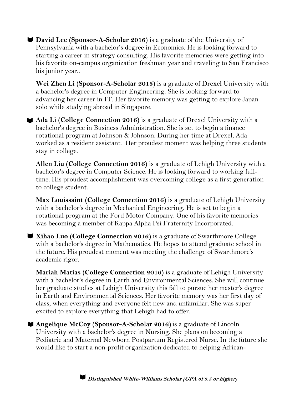**David Lee (Sponsor-A-Scholar 2016)** is a graduate of the University of Pennsylvania with a bachelor's degree in Economics. He is looking forward to starting a career in strategy consulting. His favorite memories were getting into his favorite on-campus organization freshman year and traveling to San Francisco his junior year..

**Wei Zhen Li (Sponsor-A-Scholar 2015)** is a graduate of Drexel University with a bachelor's degree in Computer Engineering. She is looking forward to advancing her career in IT. Her favorite memory was getting to explore Japan solo while studying abroad in Singapore.

**Ada Li (College Connection 2016)** is a graduate of Drexel University with a bachelor's degree in Business Administration. She is set to begin a finance rotational program at Johnson & Johnson. During her time at Drexel, Ada worked as a resident assistant. Her proudest moment was helping three students stay in college.

**Allen Liu (College Connection 2016)** is a graduate of Lehigh University with a bachelor's degree in Computer Science. He is looking forward to working fulltime. His proudest accomplishment was overcoming college as a first generation to college student.

**Max Louissaint (College Connection 2016)** is a graduate of Lehigh University with a bachelor's degree in Mechanical Engineering. He is set to begin a rotational program at the Ford Motor Company. One of his favorite memories was becoming a member of Kappa Alpha Psi Fraternity Incorporated.

**Xihao Luo (College Connection 2016)** is a graduate of Swarthmore College with a bachelor's degree in Mathematics. He hopes to attend graduate school in the future. His proudest moment was meeting the challenge of Swarthmore's academic rigor.

**Mariah Matias (College Connection 2016)** is a graduate of Lehigh University with a bachelor's degree in Earth and Environmental Sciences. She will continue her graduate studies at Lehigh University this fall to pursue her master's degree in Earth and Environmental Sciences. Her favorite memory was her first day of class, when everything and everyone felt new and unfamiliar. She was super excited to explore everything that Lehigh had to offer.

**Angelique McCoy (Sponsor-A-Scholar 2016)** is a graduate of Lincoln University with a bachelor's degree in Nursing. She plans on becoming a Pediatric and Maternal Newborn Postpartum Registered Nurse. In the future she would like to start a non-profit organization dedicated to helping African-

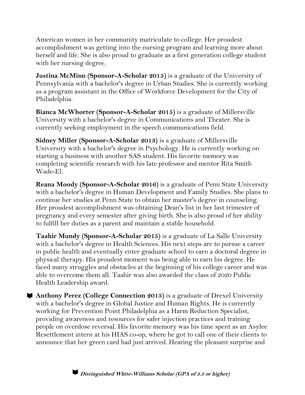American women in her community matriculate to college. Her proudest accomplishment was getting into the nursing program and learning more about herself and life. She is also proud to graduate as a first generation college student with her nursing degree.

**Justina McMinn (Sponsor-A-Scholar 2015)** is a graduate of the University of Pennsylvania with a bachelor's degree in Urban Studies. She is currently working as a program assistant in the Office of Workforce Development for the City of Philadelphia.

**Bianca McWhorter (Sponsor-A-Scholar 2015)** is a graduate of Millersville University with a bachelor's degree in Communications and Theater. She is currently seeking employment in the speech communications field.

**Sidney Miller (Sponsor-A-Scholar 2013)** is a graduate of Millersville University with a bachelor's degree in Psychology. He is currently working on starting a business with another SAS student. His favorite memory was completing scientific research with his late professor and mentor Rita Smith Wade-El.

**Reana Moody (Sponsor-A-Scholar 2016)** is a graduate of Penn State University with a bachelor's degree in Human Development and Family Studies. She plans to continue her studies at Penn State to obtain her master's degree in counseling. Her proudest accomplishment was obtaining Dean's list in her last trimester of pregnancy and every semester after giving birth. She is also proud of her ability to fulfill her duties as a parent and maintain a stable household.

**Taahir Mundy (Sponsor-A-Scholar 2015)** is a graduate of La Salle University with a bachelor's degree in Health Sciences. His next steps are to pursue a career in public health and eventually enter graduate school to earn a doctoral degree in physical therapy. His proudest moment was being able to earn his degree. He faced many struggles and obstacles at the beginning of his college career and was able to overcome them all. Taahir was also awarded the class of 2020 Public Health Leadership award.

**Anthony Perez (College Connection 2015)** is a graduate of Drexel University with a bachelor's degree in Global Justice and Human Rights. He is currently working for Prevention Point Philadelphia as a Harm Reduction Specialist, providing awareness and resources for safer injection practices and training people on overdose reversal. His favorite memory was his time spent as an Asylee Resettlement intern at his HIAS co-op, where he got to call one of their clients to announce that her green card had just arrived. Hearing the pleasant surprise and

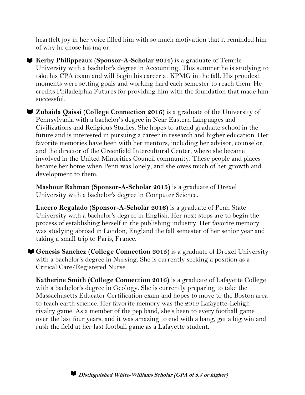heartfelt joy in her voice filled him with so much motivation that it reminded him of why he chose his major.

**Kerby Philippeaux** (**Sponsor-A-Scholar 2014)** is a graduate of Temple University with a bachelor's degree in Accounting. This summer he is studying to take his CPA exam and will begin his career at KPMG in the fall. His proudest moments were setting goals and working hard each semester to reach them. He credits Philadelphia Futures for providing him with the foundation that made him successful.

**Zubaida Qaissi (College Connection 2016)** is a graduate of the University of Pennsylvania with a bachelor's degree in Near Eastern Languages and Civilizations and Religious Studies. She hopes to attend graduate school in the future and is interested in pursuing a career in research and higher education. Her favorite memories have been with her mentors, including her advisor, counselor, and the director of the Greenfield Intercultural Center, where she became involved in the United Minorities Council community. These people and places became her home when Penn was lonely, and she owes much of her growth and development to them.

**Mashour Rahman (Sponsor-A-Scholar 2015)** is a graduate of Drexel University with a bachelor's degree in Computer Science.

**Lucero Regalado (Sponsor-A-Scholar 2016)** is a graduate of Penn State University with a bachelor's degree in English. Her next steps are to begin the process of establishing herself in the publishing industry. Her favorite memory was studying abroad in London, England the fall semester of her senior year and taking a small trip to Paris, France.

**Genesis Sanchez (College Connection 2015)** is a graduate of Drexel University with a bachelor's degree in Nursing. She is currently seeking a position as a Critical Care/Registered Nurse.

**Katherine Smith (College Connection 2016)** is a graduate of Lafayette College with a bachelor's degree in Geology. She is currently preparing to take the Massachusetts Educator Certification exam and hopes to move to the Boston area to teach earth science. Her favorite memory was the 2019 Lafayette-Lehigh rivalry game. As a member of the pep band, she's been to every football game over the last four years, and it was amazing to end with a bang, get a big win and rush the field at her last football game as a Lafayette student.

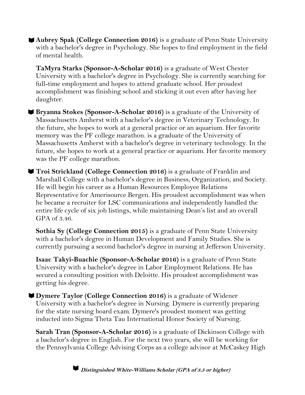**Aubrey Spak (College Connection 2016)** is a graduate of Penn State University with a bachelor's degree in Psychology. She hopes to find employment in the field of mental health.

**TaMyra Starks (Sponsor-A-Scholar 2016)** is a graduate of West Chester University with a bachelor's degree in Psychology. She is currently searching for full-time employment and hopes to attend graduate school. Her proudest accomplishment was finishing school and sticking it out even after having her daughter.

**Bryanna Stokes (Sponsor-A-Scholar 2016)** is a graduate of the University of Massachusetts Amherst with a bachelor's degree in Veterinary Technology. In the future, she hopes to work at a general practice or an aquarium. Her favorite memory was the PF college marathon. is a graduate of the University of Massachusetts Amherst with a bachelor's degree in veterinary technology. In the future, she hopes to work at a general practice or aquarium. Her favorite memory was the PF college marathon.

**Troi Strickland (College Connection 2016)** is a graduate of Franklin and Marshall College with a bachelor's degree in Business, Organization, and Society. He will begin his career as a Human Resources Employee Relations Representative for Amerisource Bergen. His proudest accomplishment was when he became a recruiter for LSC communications and independently handled the entire life cycle of six job listings, while maintaining Dean's list and an overall GPA of 3.46.

**Sothia Sy (College Connection 2015)** is a graduate of Penn State University with a bachelor's degree in Human Development and Family Studies. She is currently pursuing a second bachelor's degree in nursing at Jefferson University.

**Isaac Takyi-Buachie (Sponsor-A-Scholar 2016)** is a graduate of Penn State University with a bachelor's degree in Labor Employment Relations. He has secured a consulting position with Deloitte. His proudest accomplishment was getting his degree.

**Dymere Taylor (College Connection 2016)** is a graduate of Widener University with a bachelor's degree in Nursing. Dymere is currently preparing for the state nursing board exam. Dymere's proudest moment was getting inducted into Sigma Theta Tau International Honor Society of Nursing.

**Sarah Tran (Sponsor-A-Scholar 2016)** is a graduate of Dickinson College with a bachelor's degree in English. For the next two years, she will be working for the Pennsylvania College Advising Corps as a college advisor at McCaskey High

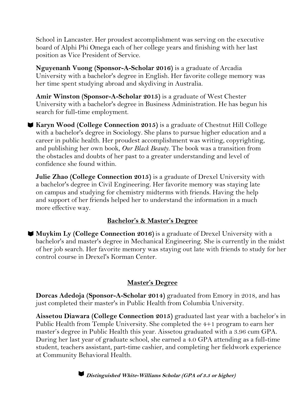School in Lancaster. Her proudest accomplishment was serving on the executive board of Alphi Phi Omega each of her college years and finishing with her last position as Vice President of Service.

**Nguyenanh Vuong (Sponsor-A-Scholar 2016)** is a graduate of Arcadia University with a bachelor's degree in English. Her favorite college memory was her time spent studying abroad and skydiving in Australia.

**Amir Winston (Sponsor-A-Scholar 2015)** is a graduate of West Chester University with a bachelor's degree in Business Administration. He has begun his search for full-time employment.

**Karyn Wood (College Connection 2015)** is a graduate of Chestnut Hill College with a bachelor's degree in Sociology. She plans to pursue higher education and a career in public health. Her proudest accomplishment was writing, copyrighting, and publishing her own book, *Our Black Beauty.* The book was a transition from the obstacles and doubts of her past to a greater understanding and level of confidence she found within.

**Julie Zhao (College Connection 2015)** is a graduate of Drexel University with a bachelor's degree in Civil Engineering. Her favorite memory was staying late on campus and studying for chemistry midterms with friends. Having the help and support of her friends helped her to understand the information in a much more effective way.

#### **Bachelor's & Master's Degree**

**Muykim Ly (College Connection 2016)** is a graduate of Drexel University with a bachelor's and master's degree in Mechanical Engineering. She is currently in the midst of her job search. Her favorite memory was staying out late with friends to study for her control course in Drexel's Korman Center.

#### **Master's Degree**

**Dorcas Adedoja (Sponsor-A-Scholar 2014)** graduated from Emory in 2018, and has just completed their master's in Public Health from Columbia University.

**Aissetou Diawara (College Connection 2015)** graduated last year with a bachelor's in Public Health from Temple University. She completed the 4+1 program to earn her master's degree in Public Health this year. Aissetou graduated with a 3.96 cum GPA. During her last year of graduate school, she earned a 4.0 GPA attending as a full-time student, teachers assistant, part-time cashier, and completing her fieldwork experience at Community Behavioral Health.

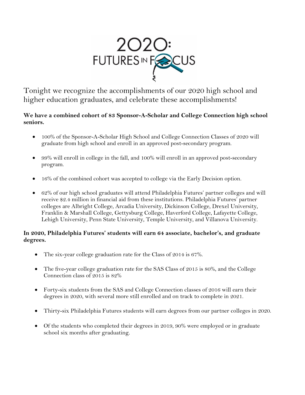

Tonight we recognize the accomplishments of our 2020 high school and higher education graduates, and celebrate these accomplishments!

#### **We have a combined cohort of 83 Sponsor-A-Scholar and College Connection high school seniors.**

- 100% of the Sponsor-A-Scholar High School and College Connection Classes of 2020 will graduate from high school and enroll in an approved post-secondary program.
- 99% will enroll in college in the fall, and 100% will enroll in an approved post-secondary program.
- 16% of the combined cohort was accepted to college via the Early Decision option.
- 62% of our high school graduates will attend Philadelphia Futures' partner colleges and will receive \$2.4 million in financial aid from these institutions. Philadelphia Futures' partner colleges are Albright College, Arcadia University, Dickinson College, Drexel University, Franklin & Marshall College, Gettysburg College, Haverford College, Lafayette College, Lehigh University, Penn State University, Temple University, and Villanova University.

#### **In 2020, Philadelphia Futures' students will earn 64 associate, bachelor's, and graduate degrees.**

- The six-year college graduation rate for the Class of 2014 is 67%.
- The five-year college graduation rate for the SAS Class of 2015 is 80%, and the College Connection class of 2015 is 82%
- Forty-six students from the SAS and College Connection classes of 2016 will earn their degrees in 2020, with several more still enrolled and on track to complete in 2021.
- Thirty-six Philadelphia Futures students will earn degrees from our partner colleges in 2020.
- Of the students who completed their degrees in 2019, 90% were employed or in graduate school six months after graduating.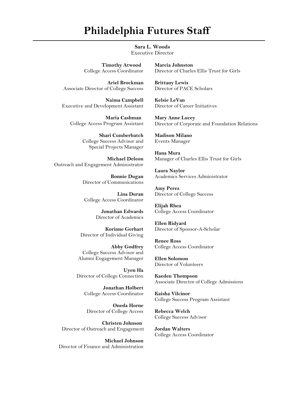## **Philadelphia Futures Staff**

**Sara L. Woods** Executive Director

 **Timothy Atwood** College Access Coordinator

**Ariel Brockman** Associate Director of College Success

**Naima Campbell** Executive and Development Assistant

 **Maria Cashman**  College Access Program Assistant

> **Shari Cumberbatch** College Success Advisor and Special Projects Manager

**Michael Deleon**  Outreach and Engagement Administrator

> **Bonnie Dugan**  Director of Communications

**Lina Duran**  College Access Coordinator

> **Jonathan Edwards**  Director of Academics

**Korinne Gerhart**  Director of Individual Giving

**Abby Godfrey** College Success Advisor and Alumni Engagement Manager

**Uyen Ha**  Director of College Connection

> **Jonathan Holbert**  College Access Coordinator

**Oneda Horne**  Director of College Access

 **Christen Johnson**  Director of Outreach and Engagement

**Michael Johnson**  Director of Finance and Administration **Marcia Johnston**  Director of Charles Ellis Trust for Girls

**Brittany Lewis**  Director of PACE Scholars

**Kelsie LeVan**  Director of Career Initiatives

**Mary Anne Lucey**  Director of Corporate and Foundation Relations

**Madison Milano**  Events Manager

**Hana Mura** Manager of Charles Ellis Trust for Girls

**Laura Naylor** Academics Services Administrator

**Amy Perez**  Director of College Success

**Elijah Rhea**  College Access Coordinator

**Ellen Ridyard**  Director of Sponsor-A-Scholar

**Renee Ross** College Access Coordinator

**Ellen Solomon** Director of Volunteers

**Kaeden Thompson**  Associate Director of College Admissions

**Kaisha Vilcinor**  College Success Program Assistant

**Rebecca Welch**  College Success Advisor

**Jordan Walters**  College Access Coordinator